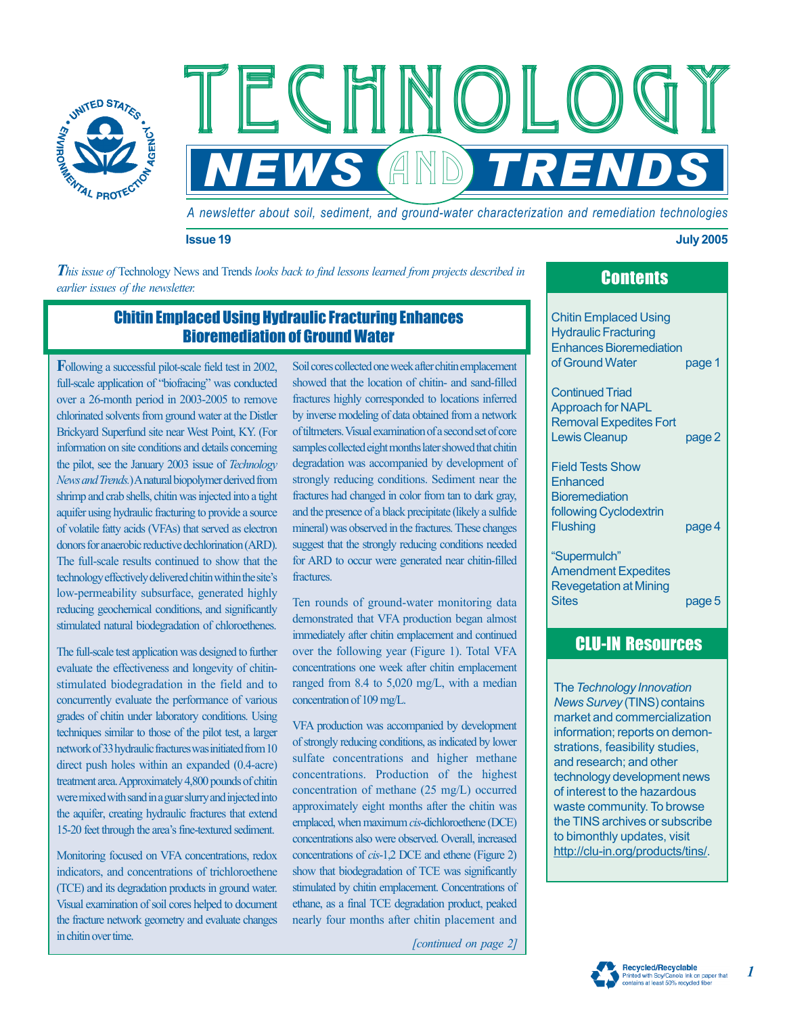

*A newsletter about soil, sediment, and ground-water characterization and remediation technologies*

**NEWS AND TRENDS** 

#### **Issue 19 July 2005**

*This issue of* Technology News and Trends *looks back to find lessons learned from projects described in earlier issues of the newsletter.* 

ECHNO<br>EVS AND

# Contents

# Chitin Emplaced Using Hydraulic Fracturing Enhances Bioremediation of Ground Water

**F**ollowing a successful pilot-scale field test in 2002, full-scale application of "biofracing" was conducted over a 26-month period in 2003-2005 to remove chlorinated solvents from ground water at the Distler Brickyard Superfund site near West Point, KY. (For information on site conditions and details concerning the pilot, see the January 2003 issue of *Technology News and Trends.*)Anatural biopolymer derived from shrimp and crab shells, chitin was injected into a tight aquifer using hydraulic fracturing to provide a source of volatile fatty acids (VFAs) that served as electron donors for anaerobic reductive dechlorination (ARD). The full-scale results continued to show that the technology effectively delivered chitin within the site's low-permeability subsurface, generated highly reducing geochemical conditions, and significantly stimulated natural biodegradation of chloroethenes.

The full-scale test application was designed to further evaluate the effectiveness and longevity of chitinstimulated biodegradation in the field and to concurrently evaluate the performance of various grades of chitin under laboratory conditions. Using techniques similar to those of the pilot test, a larger network of 33 hydraulic fractures was initiated from 10 direct push holes within an expanded (0.4-acre) treatment area. Approximately 4,800 pounds of chitin were mixed with sand in a guar slurry and injected into the aquifer, creating hydraulic fractures that extend 15-20 feet through the area's fine-textured sediment.

Monitoring focused on VFA concentrations, redox indicators, and concentrations of trichloroethene (TCE) and its degradation products in ground water. Visual examination of soil cores helped to document the fracture network geometry and evaluate changes in chitin over time.

Soil cores collected one week after chitin emplacement showed that the location of chitin- and sand-filled fractures highly corresponded to locations inferred by inverse modeling of data obtained from a network of tiltmeters.Visual examination of a second set of core samples collected eight months later showed that chitin degradation was accompanied by development of strongly reducing conditions. Sediment near the fractures had changed in color from tan to dark gray, and the presence of a black precipitate (likely a sulfide mineral) was observed in the fractures. These changes suggest that the strongly reducing conditions needed for ARD to occur were generated near chitin-filled fractures.

Ten rounds of ground-water monitoring data demonstrated that VFA production began almost immediately after chitin emplacement and continued over the following year (Figure 1). Total VFA concentrations one week after chitin emplacement ranged from 8.4 to 5,020 mg/L, with a median concentration of 109 mg/L.

VFA production was accompanied by development of strongly reducing conditions, as indicated by lower sulfate concentrations and higher methane concentrations. Production of the highest concentration of methane (25 mg/L) occurred approximately eight months after the chitin was emplaced, when maximum *cis*-dichloroethene (DCE) concentrations also were observed. Overall, increased concentrations of *cis*-1,2 DCE and ethene (Figure 2) show that biodegradation of TCE was significantly stimulated by chitin emplacement. Concentrations of ethane, as a final TCE degradation product, peaked nearly four months after chitin placement and

*[continued on page 2]* 

Chitin Emplaced Using Hydraulic Fracturing Enhances Bioremediation

of Ground Water page 1

Continued Triad Approach for NAPL Removal Expedites Fort Lewis Cleanup bage 2

Field Tests Show **Enhanced Bioremediation** following Cyclodextrin Flushing page 4

—Supermulch" Amendment Expedites Revegetation at Mining Sites page 5

# CLU-IN Resources

The *Technology Innovation News Survey* (TINS) contains market and commercialization information; reports on demonstrations, feasibility studies, and research; and other technology development news of interest to the hazardous waste community. To browse the TINS archives or subscribe to bimonthly updates, visit http://clu-in.org/products/tins/.



*1*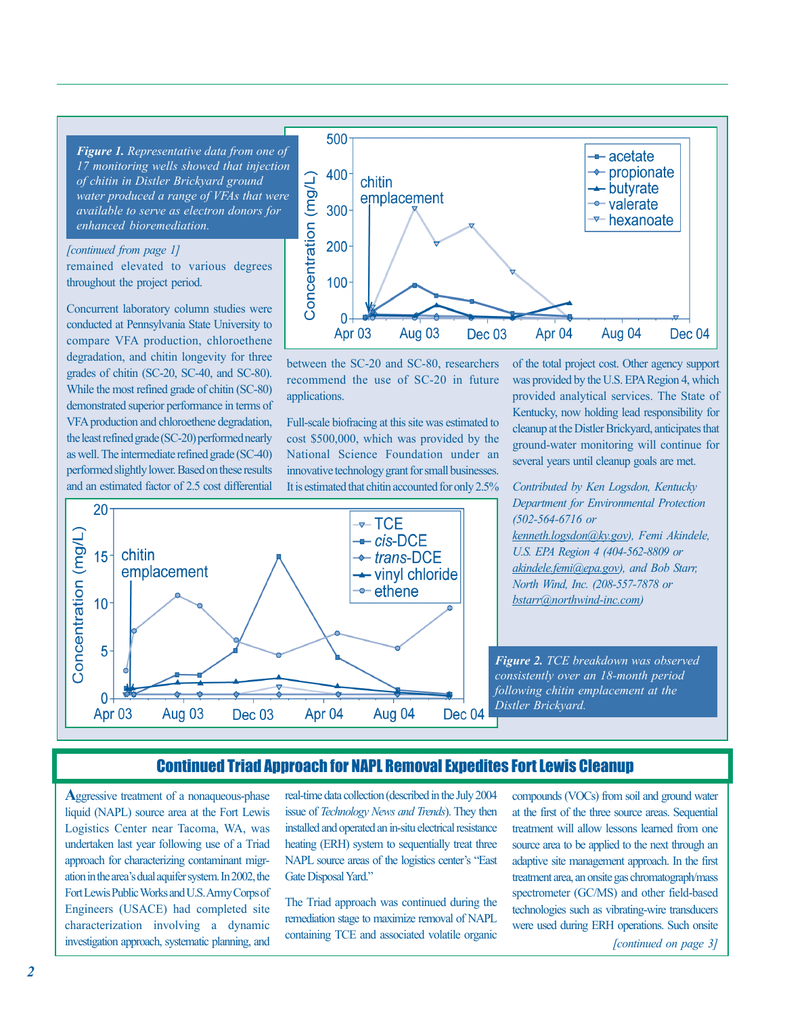*Figure 1. Representative data from one of 17 monitoring wells showed that injection of chitin in Distler Brickyard ground available to serve as electron donors for enhanced bioremediation. water produced a range of VFAs that were* 

#### *[continued from page 1]*

remained elevated to various degrees throughout the project period.

Concurrent laboratory column studies were conducted at Pennsylvania State University to degradation, and chitin longevity for three grades of chitin (SC-20, SC-40, and SC-80). While the most refined grade of chitin (SC-80) demonstrated superior performance in terms of the least refined grade (SC-20) performed nearly as well. The intermediate refined grade (SC-40) and an estimated factor of 2.5 cost differential compare VFA production, chloroethene VFA production and chloroethene degradation, performed slightly lower. Based on these results



between the SC-20 and SC-80, researchers recommend the use of SC-20 in future applications.

Full-scale biofracing at this site was estimated to cost \$500,000, which was provided by the National Science Foundation under an innovative technology grant for small businesses. It is estimated that chitin accounted for only 2.5%

of the total project cost. Other agency support provided analytical services. The State of cleanup at the Distler Brickyard, anticipates that ground-water monitoring will continue for several years until cleanup goals are met. was provided by the U.S. EPA Region 4, which Kentucky, now holding lead responsibility for



*Contributed by Ken Logsdon, Kentucky Department for Environmental Protection (502-564-6716 or kenneth.logsdon@ky .gov), Femi Akindele, bstarr@northwind-inc.com) U.S. EPA Region 4 (404-562-8809 or akindele.femi@epa.gov), and Bob Starr, North Wind, Inc. (208-557-7878 or* 

*Figure 2. TCE breakdown was observed consistently over an 18-month period following chitin emplacement at the Distler Brickyard.* 

## Continued Triad Approach for NAPL Removal Expedites Fort Lewis Cleanup

**A**ggressive treatment of a nonaqueous-phase liquid (NAPL) source area at the Fort Lewis undertaken last year following use of a Triad approach for characterizing contaminant migr-Engineers (USACE) had completed site characterization involving a dynamic investigation approach, systematic planning, and Logistics Center near Tacoma, WA, was ation in the area's dual aquifer system. In 2002, the Fort Lewis Public Works and U.S. Army Corps of real-time data collection (described in the July 2004 issue of *Technology News and Trends*). They then installed and operated an in-situ electrical resistance heating (ERH) system to sequentially treat three NAPL source areas of the logistics center's "East Gate Disposal Yard."

The Triad approach was continued during the remediation stage to maximize removal of NAPL containing TCE and associated volatile organic

compounds (VOCs) from soil and ground water at the first of the three source areas. Sequential treatment will allow lessons learned from one source area to be applied to the next through an adaptive site management approach. In the first treatment area, an onsite gas chromatograph/mass spectrometer (GC/MS) and other field-based technologies such as vibrating-wire transducers were used during ERH operations. Such onsite

*[continued on page 3]*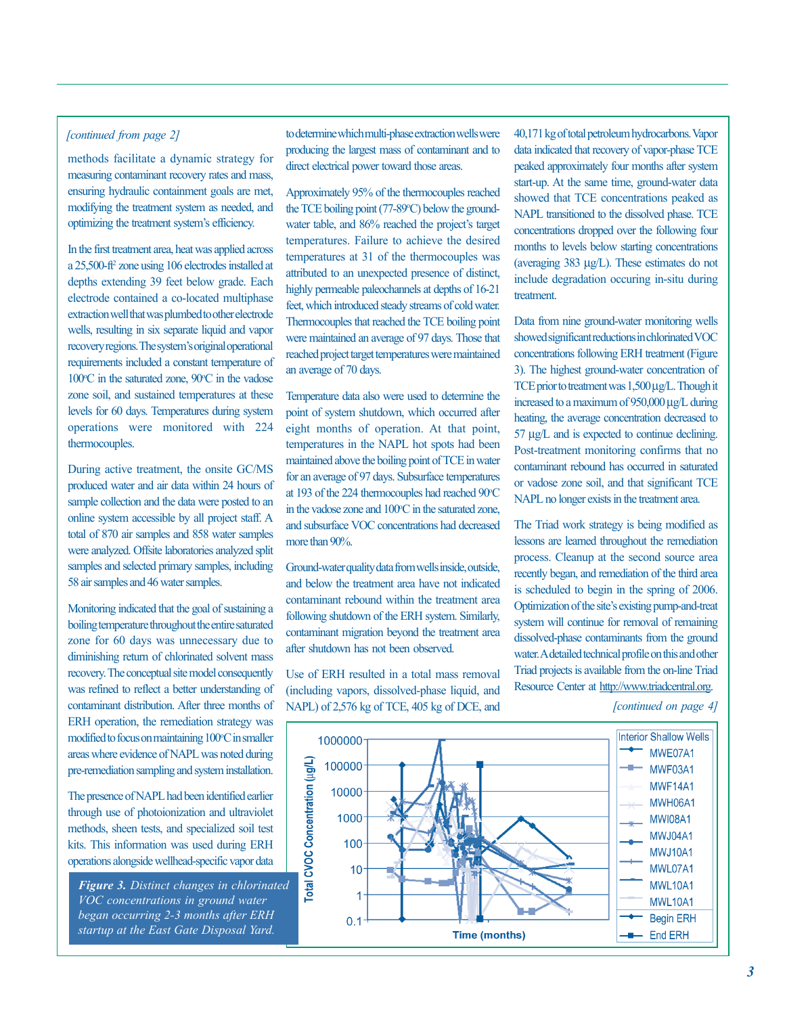### *[continued from page 2]*

methods facilitate a dynamic strategy for measuring contaminant recovery rates and mass, ensuring hydraulic containment goals are met, modifying the treatment system as needed, and optimizing the treatment system's efficiency.

In the first treatment area, heat was applied across a 25,500-ft2 zone using 106 electrodes installed at depths extending 39 feet below grade. Each electrode contained a co-located multiphase extraction well that was plumbed to other electrode wells, resulting in six separate liquid and vapor requirements included a constant temperature of 100°C in the saturated zone, 90°C in the vadose zone soil, and sustained temperatures at these operations were monitored with 224 thermocouples. recovery regions. The system's original operational levels for 60 days. Temperatures during system

During active treatment, the onsite GC/MS produced water and air data within 24 hours of sample collection and the data were posted to an total of 870 air samples and 858 water samples were analyzed. Offsite laboratories analyzed split samples and selected primary samples, including 58 air samples and 46 water samples. online system accessible by all project staff. A

Monitoring indicated that the goal of sustaining a boiling temperature throughout the entire saturated zone for 60 days was unnecessary due to diminishing return of chlorinated solvent mass was refined to reflect a better understanding of ERH operation, the remediation strategy was modified to focus on maintaining 100°C in smaller areas where evidence of NAPL was noted during pre-remediation sampling and system installation. recovery. The conceptual site model consequently contaminant distribution. After three months of

The presence of NAPL had been identified earlier through use of photoionization and ultraviolet methods, sheen tests, and specialized soil test kits. This information was used during ERH operations alongside wellhead-specific vapor data

*Figure 3. Distinct changes in chlorinated VOC concentrations in ground water began occurring 2-3 months after ERH startup at the East Gate Disposal Yard.* 

to determine which multi-phase extraction wells were producing the largest mass of contaminant and to direct electrical power toward those areas.

Approximately 95% of the thermocouples reached the TCE boiling point (77-89°C) below the groundtemperatures. Failure to achieve the desired temperatures at 31 of the thermocouples was attributed to an unexpected presence of distinct, highly permeable paleochannels at depths of 16-21 Thermocouples that reached the TCE boiling point were maintained an average of 97 days. Those that reached project target temperatures were maintained an average of 70 days. water table, and 86% reached the project's target feet, which introduced steady streams of cold water.

point of system shutdown, which occurred after temperatures in the NAPL hot spots had been maintained above the boiling point of TCE in water for an average of 97 days. Subsurface temperatures at 193 of the 224 thermocouples had reached 90°C in the vadose zone and 100°C in the saturated zone, and subsurface VOC concentrations had decreased more than 90%. Temperature data also were used to determine the eight months of operation. At that point,

Ground-water quality data from wells inside, outside, and below the treatment area have not indicated contaminant rebound within the treatment area contaminant migration beyond the treatment area after shutdown has not been observed. following shutdown of the ERH system. Similarly,

Use of ERH resulted in a total mass removal (including vapors, dissolved-phase liquid, and NAPL) of 2,576 kg of TCE, 405 kg of DCE, and data indicated that recovery of vapor-phase TCE peaked approximately four months after system showed that TCE concentrations peaked as NAPL transitioned to the dissolved phase. TCE concentrations dropped over the following four months to levels below starting concentrations (averaging 383 µg/L). These estimates do not include degradation occuring in-situ during treatment. 40,171 kg of total petroleum hydrocarbons. Vapor start-up. At the same time, ground-water data

Data from nine ground-water monitoring wells showed significant reductions in chlorinated VOC concentrations following ERH treatment (Figure 3). The highest ground-water concentration of TCE prior to treatment was  $1,500 \mu$ g/L. Though it increased to a maximum of 950,000 µg/L during heating, the average concentration decreased to 57 µg/L and is expected to continue declining. Post-treatment monitoring confirms that no contaminant rebound has occurred in saturated or vadose zone soil, and that significant TCE NAPL no longer exists in the treatment area.

The Triad work strategy is being modified as lessons are learned throughout the remediation process. Cleanup at the second source area recently began, and remediation of the third area is scheduled to begin in the spring of 2006. system will continue for removal of remaining dissolved-phase contaminants from the ground Triad projects is available from the on-line Triad Resource Center at http://www.triadcentral.org. Optimization of the site's existing pump-and-treat water.A detailed technical profile on this and other

*[continued on page 4]* 

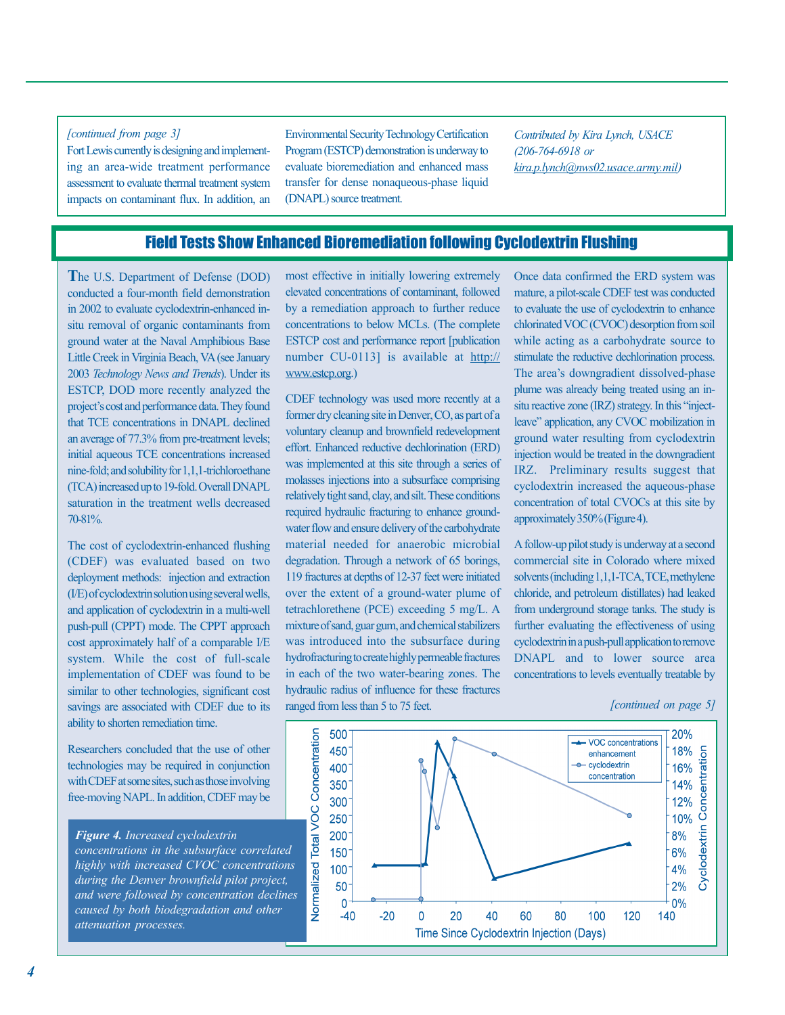### *[continued from page 3]*

Fort Lewis currently is designing and implementing an area-wide treatment performance assessment to evaluate thermal treatment system impacts on contaminant flux. In addition, an Program (ESTCP) demonstration is underway to evaluate bioremediation and enhanced mass transfer for dense nonaqueous-phase liquid (DNAPL) source treatment. Environmental Security Technology Certification

*Contributed by Kira Lynch, USACE (206-764-6918 or kira.p.lynch@nws02.usace.army.mil)* 

## Field Tests Show Enhanced Bioremediation following Cyclodextrin Flushing

**T**he U.S. Department of Defense (DOD) conducted a four-month field demonstration in 2002 to evaluate cyclodextrin-enhanced insitu removal of organic contaminants from 2003 Technology News and Trends). Under its that TCE concentrations in DNAPL declined an average of 77.3% from pre-treatment levels; initial aqueous TCE concentrations increased nine-fold; and solubility for 1,1,1-trichloroethane (TCA) increased up to 19-fold. Overall DNAPL saturation in the treatment wells decreased 70-81%. ground water at the Naval Amphibious Base Little Creek in Virginia Beach, VA (see January ESTCP, DOD more recently analyzed the project's cost and performance data. They found

The cost of cyclodextrin-enhanced flushing (CDEF) was evaluated based on two deployment methods: injection and extraction (I/E) of cyclodextrin solution using several wells, and application of cyclodextrin in a multi-well push-pull (CPPT) mode. The CPPT approach cost approximately half of a comparable I/E system. While the cost of full-scale implementation of CDEF was found to be similar to other technologies, significant cost savings are associated with CDEF due to its ability to shorten remediation time.

Researchers concluded that the use of other technologies may be required in conjunction with CDEF at some sites, such as those involving free-moving NAPL. In addition, CDEF may be

*Figure 4. Increased cyclodextrin concentrations in the subsurface correlated highly with increased CVOC concentrations during the Denver brownfield pilot project, and were followed by concentration declines caused by both biodegradation and other attenuation processes.* 

most effective in initially lowering extremely elevated concentrations of contaminant, followed by a remediation approach to further reduce number CU-0113] is available at http:// www.estcp.org.) concentrations to below MCLs. (The complete ESTCP cost and performance report [publication

CDEF technology was used more recently at a former dry cleaning site in Denver, CO, as part of a voluntary cleanup and brownfield redevelopment effort. Enhanced reductive dechlorination (ERD) was implemented at this site through a series of molasses injections into a subsurface comprising required hydraulic fracturing to enhance groundwater flow and ensure delivery of the carbohydrate material needed for anaerobic microbial degradation. Through a network of 65 borings, 119 fractures at depths of 12-37 feet were initiated over the extent of a ground-water plume of mixture of sand, guar gum, and chemical stabilizers was introduced into the subsurface during in each of the two water-bearing zones. The hydraulic radius of influence for these fractures ranged from less than 5 to 75 feet. relatively tight sand, clay, and silt. These conditions tetrachlorethene (PCE) exceeding 5 mg/L. A hydrofracturing to create highly permeable fractures Once data confirmed the ERD system was mature, a pilot-scale CDEF test was conducted to evaluate the use of cyclodextrin to enhance chlorinated VOC (CVOC) desorption from soil while acting as a carbohydrate source to stimulate the reductive dechlorination process. plume was already being treated using an inleave" application, any CVOC mobilization in ground water resulting from cyclodextrin injection would be treated in the downgradient IRZ. Preliminary results suggest that cyclodextrin increased the aqueous-phase concentration of total CVOCs at this site by approximately 350% (Figure 4). The area's downgradient dissolved-phase situ reactive zone (IRZ) strategy. In this "inject-

A follow-up pilot study is underway at a second commercial site in Colorado where mixed solvents (including 1,1,1-TCA, TCE, methylene chloride, and petroleum distillates) had leaked from underground storage tanks. The study is further evaluating the effectiveness of using cyclodextrin in a push-pull application to remove DNAPL and to lower source area concentrations to levels eventually treatable by

#### *[continued on page 5]*

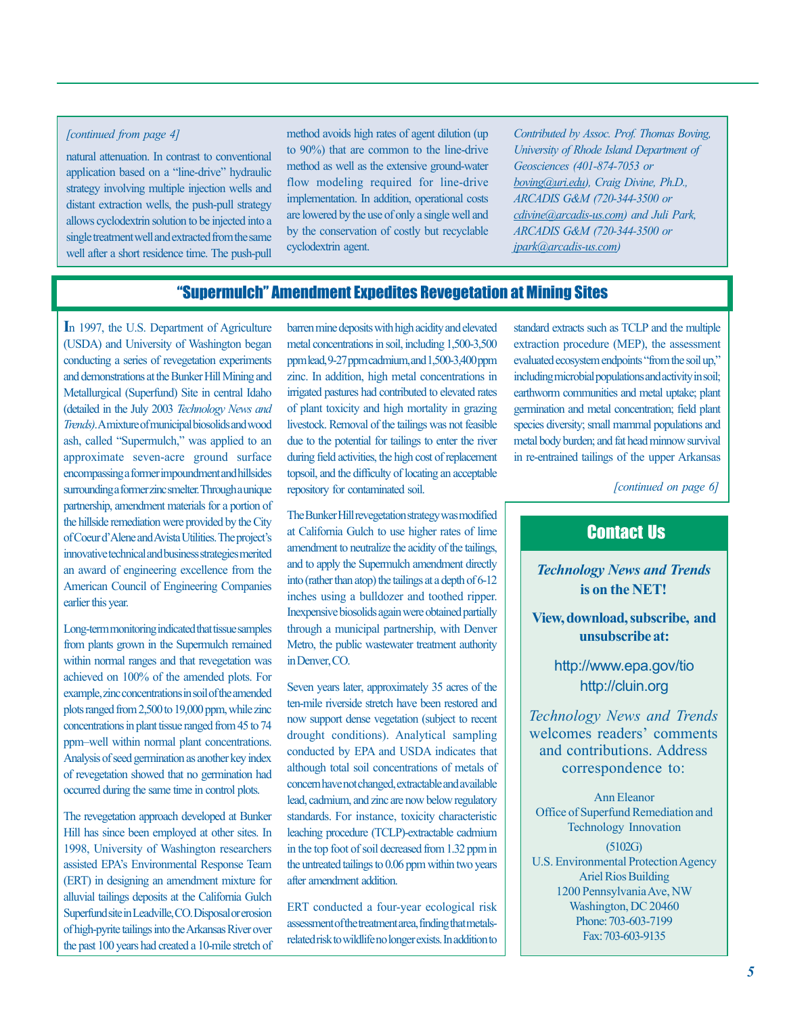### *[continued from page 4]*

natural attenuation. In contrast to conventional application based on a "line-drive" hydraulic strategy involving multiple injection wells and distant extraction wells, the push-pull strategy allows cyclodextrin solution to be injected into a single treatment well and extracted from the same well after a short residence time. The push-pull method avoids high rates of agent dilution (up to 90%) that are common to the line-drive method as well as the extensive ground-water flow modeling required for line-drive implementation. In addition, operational costs are lowered by the use of only a single well and by the conservation of costly but recyclable cyclodextrin agent.

*Contributed by Assoc. Prof. Thomas Boving, University of Rhode Island Department of Geosciences (401-874-7053 or ARCADIS G&M (720-344-3500 or ARCADIS G&M (720-344-3500 or jpark@arcadis-us.com) boving@uri.edu), Craig Divine, Ph.D., cdivine@arcadis-us.com) and Juli Park,* 

### "Supermulch" Amendment Expedites Revegetation at Mining Sites

**I** n 1997, the U.S. Department of Agriculture conducting a series of revegetation experiments and demonstrations at the Bunker Hill Mining and Metallurgical (Superfund) Site in central Idaho (detailed in the July 2003 *Technology News and*  ash, called "Supermulch," was applied to an approximate seven-acre ground surface encompassing a former impoundment and hillsides partnership, amendment materials for a portion of the hillside remediation were provided by the City innovative technical and business strategies merited an award of engineering excellence from the American Council of Engineering Companies (USDA) and University of Washington began *Trends)*.A mixture of municipal biosolids and wood surrounding a former zinc smelter.Through a unique of Coeur d'Alene and Avista Utilities. The project's earlier this year.

Long-term monitoring indicated that tissue samples from plants grown in the Supermulch remained within normal ranges and that revegetation was achieved on 100% of the amended plots. For example, zinc concentrations in soil of the amended plots ranged from 2,500 to 19,000 ppm, while zinc concentrations in plant tissue ranged from 45 to 74 ppm-well within normal plant concentrations. Analysis of seed germination as another key index of revegetation showed that no germination had occurred during the same time in control plots.

The revegetation approach developed at Bunker Hill has since been employed at other sites. In alluvial tailings deposits at the California Gulch Superfund site in Leadville, CO. Disposal or erosion the past 100 years had created a 10-mile stretch of 1998, University of Washington researchers assisted EPA's Environmental Response Team (ERT) in designing an amendment mixture for of high-pyrite tailings into the Arkansas River over

barren mine deposits with high acidity and elevated metal concentrations in soil, including 1,500-3,500 ppm lead, 9-27 ppm cadmium, and 1,500-3,400 ppm zinc. In addition, high metal concentrations in irrigated pastures had contributed to elevated rates of plant toxicity and high mortality in grazing livestock. Removal of the tailings was not feasible due to the potential for tailings to enter the river during field activities, the high cost of replacement topsoil, and the difficulty of locating an acceptable repository for contaminated soil.

The Bunker Hill revegetation strategy was modified at California Gulch to use higher rates of lime amendment to neutralize the acidity of the tailings, and to apply the Supermulch amendment directly into (rather than atop) the tailings at a depth of 6-12 Inexpensive biosolids again were obtained partially through a municipal partnership, with Denver Metro, the public wastewater treatment authority in Denver, CO. inches using a bulldozer and toothed ripper.

Seven years later, approximately 35 acres of the ten-mile riverside stretch have been restored and now support dense vegetation (subject to recent although total soil concentrations of metals of concern have not changed, extractable and available lead, cadmium, and zinc are now below regulatory leaching procedure (TCLP)-extractable cadmium the untreated tailings to 0.06 ppm within two years after amendment addition. drought conditions). Analytical sampling conducted by EPA and USDA indicates that standards. For instance, toxicity characteristic in the top foot of soil decreased from 1.32 ppm in

assessment of the treatment area, finding that metalsrelated risk to wildlife no longer exists. In addition to ERT conducted a four-year ecological risk

standard extracts such as TCLP and the multiple extraction procedure (MEP), the assessment evaluated ecosystem endpoints "from the soil up," including microbial populations and activity in soil; earthworm communities and metal uptake; plant germination and metal concentration; field plant species diversity; small mammal populations and metal body burden; and fat head minnow survival in re-entrained tailings of the upper Arkansas

*[continued on page 6]* 

## Contact Us

**is on the NET!**  *Technology News and Trends* 

**and View, download, subscribe, unsubscribe at:** 

> http://cluin.org http://www.epa.gov/tio

welcomes readers' comments correspondence to: *Technology News and Trends*  and contributions. Address

Ann Eleanor Office of Superfund Remediation and (5102G) Ariel Rios Building Phone: 703-603-7199 Fax: 703-603-9135 Technology Innovation U.S. Environmental Protection Agency 1200 Pennsylvania Ave, NW Washington, DC 20460